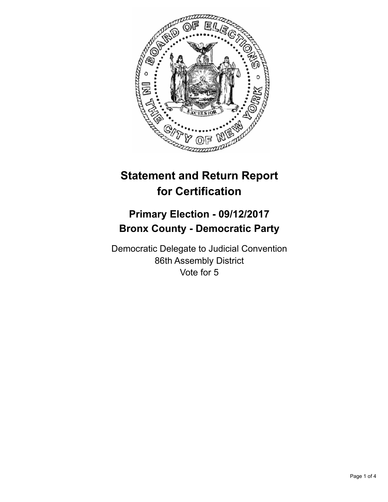

## **Statement and Return Report for Certification**

## **Primary Election - 09/12/2017 Bronx County - Democratic Party**

Democratic Delegate to Judicial Convention 86th Assembly District Vote for 5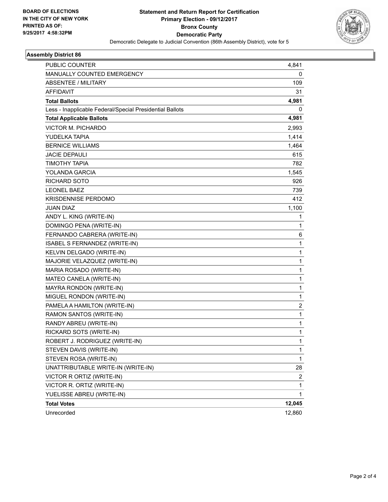

## **Assembly District 86**

| PUBLIC COUNTER                                           | 4,841        |
|----------------------------------------------------------|--------------|
| MANUALLY COUNTED EMERGENCY                               | 0            |
| <b>ABSENTEE / MILITARY</b>                               | 109          |
| <b>AFFIDAVIT</b>                                         | 31           |
| <b>Total Ballots</b>                                     | 4,981        |
| Less - Inapplicable Federal/Special Presidential Ballots | 0            |
| <b>Total Applicable Ballots</b>                          | 4,981        |
| <b>VICTOR M. PICHARDO</b>                                | 2,993        |
| YUDELKA TAPIA                                            | 1,414        |
| <b>BERNICE WILLIAMS</b>                                  | 1,464        |
| JACIE DEPAULI                                            | 615          |
| <b>TIMOTHY TAPIA</b>                                     | 782          |
| <b>YOLANDA GARCIA</b>                                    | 1,545        |
| RICHARD SOTO                                             | 926          |
| <b>LEONEL BAEZ</b>                                       | 739          |
| <b>KRISDENNISE PERDOMO</b>                               | 412          |
| <b>JUAN DIAZ</b>                                         | 1,100        |
| ANDY L. KING (WRITE-IN)                                  | 1            |
| DOMINGO PENA (WRITE-IN)                                  | 1            |
| FERNANDO CABRERA (WRITE-IN)                              | 6            |
| ISABEL S FERNANDEZ (WRITE-IN)                            | 1            |
| KELVIN DELGADO (WRITE-IN)                                | 1            |
| MAJORIE VELAZQUEZ (WRITE-IN)                             | $\mathbf{1}$ |
| MARIA ROSADO (WRITE-IN)                                  | 1            |
| MATEO CANELA (WRITE-IN)                                  | 1            |
| MAYRA RONDON (WRITE-IN)                                  | $\mathbf{1}$ |
| MIGUEL RONDON (WRITE-IN)                                 | 1            |
| PAMELA A HAMILTON (WRITE-IN)                             | 2            |
| RAMON SANTOS (WRITE-IN)                                  | $\mathbf{1}$ |
| RANDY ABREU (WRITE-IN)                                   | 1            |
| RICKARD SOTS (WRITE-IN)                                  | $\mathbf{1}$ |
| ROBERT J. RODRIGUEZ (WRITE-IN)                           | 1            |
| STEVEN DAVIS (WRITE-IN)                                  | 1            |
| STEVEN ROSA (WRITE-IN)                                   | 1            |
| UNATTRIBUTABLE WRITE-IN (WRITE-IN)                       | 28           |
| VICTOR R ORTIZ (WRITE-IN)                                | 2            |
| VICTOR R. ORTIZ (WRITE-IN)                               | $\mathbf 1$  |
| YUELISSE ABREU (WRITE-IN)                                | $\mathbf{1}$ |
| <b>Total Votes</b>                                       | 12,045       |
| Unrecorded                                               | 12,860       |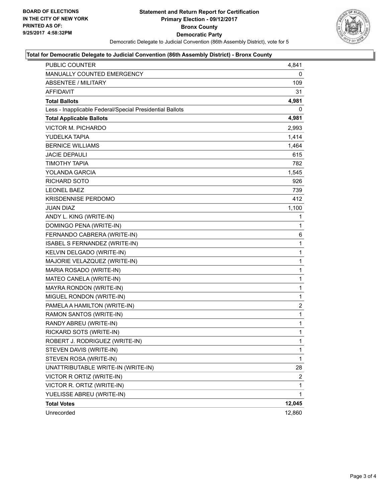

## **Total for Democratic Delegate to Judicial Convention (86th Assembly District) - Bronx County**

| PUBLIC COUNTER                                           | 4,841          |
|----------------------------------------------------------|----------------|
| MANUALLY COUNTED EMERGENCY                               | 0              |
| ABSENTEE / MILITARY                                      | 109            |
| AFFIDAVIT                                                | 31             |
| <b>Total Ballots</b>                                     | 4,981          |
| Less - Inapplicable Federal/Special Presidential Ballots | 0              |
| <b>Total Applicable Ballots</b>                          | 4,981          |
| <b>VICTOR M. PICHARDO</b>                                | 2,993          |
| YUDELKA TAPIA                                            | 1,414          |
| <b>BERNICE WILLIAMS</b>                                  | 1,464          |
| <b>JACIE DEPAULI</b>                                     | 615            |
| <b>TIMOTHY TAPIA</b>                                     | 782            |
| <b>YOLANDA GARCIA</b>                                    | 1,545          |
| <b>RICHARD SOTO</b>                                      | 926            |
| <b>LEONEL BAEZ</b>                                       | 739            |
| <b>KRISDENNISE PERDOMO</b>                               | 412            |
| JUAN DIAZ                                                | 1,100          |
| ANDY L. KING (WRITE-IN)                                  | 1              |
| DOMINGO PENA (WRITE-IN)                                  | 1              |
| FERNANDO CABRERA (WRITE-IN)                              | 6              |
| <b>ISABEL S FERNANDEZ (WRITE-IN)</b>                     | $\mathbf{1}$   |
| KELVIN DELGADO (WRITE-IN)                                | 1              |
| MAJORIE VELAZQUEZ (WRITE-IN)                             | 1              |
| MARIA ROSADO (WRITE-IN)                                  | 1              |
| MATEO CANELA (WRITE-IN)                                  | 1              |
| MAYRA RONDON (WRITE-IN)                                  | 1              |
| MIGUEL RONDON (WRITE-IN)                                 | $\mathbf{1}$   |
| PAMELA A HAMILTON (WRITE-IN)                             | $\overline{2}$ |
| RAMON SANTOS (WRITE-IN)                                  | 1              |
| RANDY ABREU (WRITE-IN)                                   | $\mathbf{1}$   |
| RICKARD SOTS (WRITE-IN)                                  | $\mathbf{1}$   |
| ROBERT J. RODRIGUEZ (WRITE-IN)                           | $\mathbf{1}$   |
| STEVEN DAVIS (WRITE-IN)                                  | 1              |
| STEVEN ROSA (WRITE-IN)                                   | $\mathbf{1}$   |
| UNATTRIBUTABLE WRITE-IN (WRITE-IN)                       | 28             |
| VICTOR R ORTIZ (WRITE-IN)                                | $\overline{2}$ |
| VICTOR R. ORTIZ (WRITE-IN)                               | 1              |
| YUELISSE ABREU (WRITE-IN)                                | 1              |
| <b>Total Votes</b>                                       | 12,045         |
| Unrecorded                                               | 12,860         |